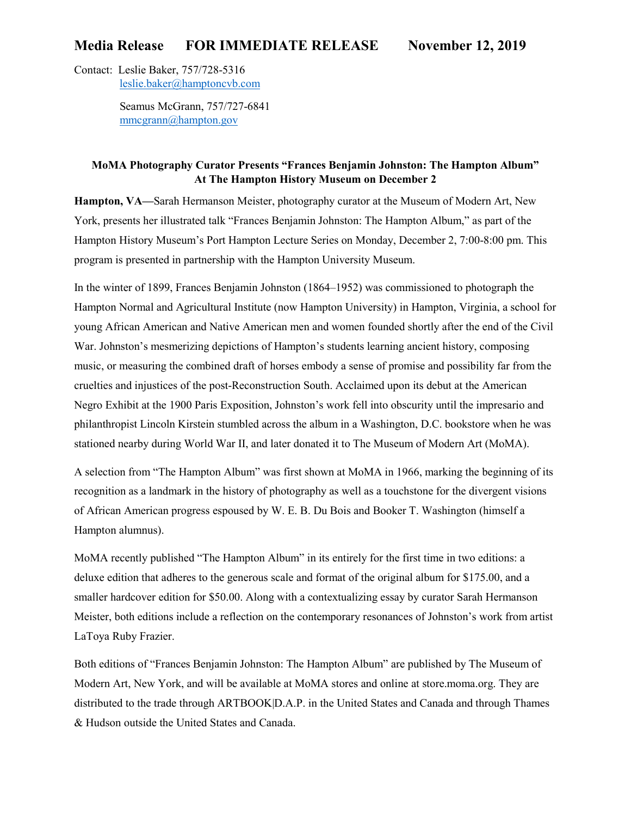# **Media Release FOR IMMEDIATE RELEASE November 12, 2019**

Contact: Leslie Baker, 757/728-5316 [leslie.baker@hamptoncvb.com](mailto:leslie.baker@hamptoncvb.com)

> Seamus McGrann, 757/727-6841 [mmcgrann@hampton.gov](mailto:mmcgrann@hampton.gov)

## **MoMA Photography Curator Presents "Frances Benjamin Johnston: The Hampton Album" At The Hampton History Museum on December 2**

**Hampton, VA—**Sarah Hermanson Meister, photography curator at the Museum of Modern Art, New York, presents her illustrated talk "Frances Benjamin Johnston: The Hampton Album," as part of the Hampton History Museum's Port Hampton Lecture Series on Monday, December 2, 7:00-8:00 pm. This program is presented in partnership with the Hampton University Museum.

In the winter of 1899, Frances Benjamin Johnston (1864–1952) was commissioned to photograph the Hampton Normal and Agricultural Institute (now Hampton University) in Hampton, Virginia, a school for young African American and Native American men and women founded shortly after the end of the Civil War. Johnston's mesmerizing depictions of Hampton's students learning ancient history, composing music, or measuring the combined draft of horses embody a sense of promise and possibility far from the cruelties and injustices of the post-Reconstruction South. Acclaimed upon its debut at the American Negro Exhibit at the 1900 Paris Exposition, Johnston's work fell into obscurity until the impresario and philanthropist Lincoln Kirstein stumbled across the album in a Washington, D.C. bookstore when he was stationed nearby during World War II, and later donated it to The Museum of Modern Art (MoMA).

A selection from "The Hampton Album" was first shown at MoMA in 1966, marking the beginning of its recognition as a landmark in the history of photography as well as a touchstone for the divergent visions of African American progress espoused by W. E. B. Du Bois and Booker T. Washington (himself a Hampton alumnus).

MoMA recently published "The Hampton Album" in its entirely for the first time in two editions: a deluxe edition that adheres to the generous scale and format of the original album for \$175.00, and a smaller hardcover edition for \$50.00. Along with a contextualizing essay by curator Sarah Hermanson Meister, both editions include a reflection on the contemporary resonances of Johnston's work from artist LaToya Ruby Frazier.

Both editions of "Frances Benjamin Johnston: The Hampton Album" are published by The Museum of Modern Art, New York, and will be available at MoMA stores and online at store.moma.org. They are distributed to the trade through ARTBOOK|D.A.P. in the United States and Canada and through Thames & Hudson outside the United States and Canada.